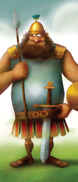